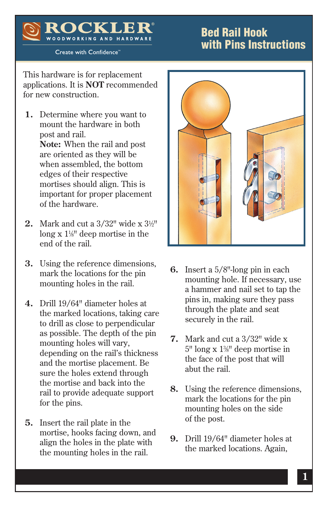## Bed Rail Hook with Pins Instructions

Create with Confidence<sup>®</sup>

DK. WOODWORKING AND HARDWARE

This hardware is for replacement applications. It is **NOT** recommended for new construction.

- **1.** Determine where you want to mount the hardware in both post and rail.  **Note:** When the rail and post are oriented as they will be when assembled, the bottom edges of their respective mortises should align. This is important for proper placement of the hardware.
- **2.** Mark and cut a 3/32" wide x 31 ⁄2" long x  $1\frac{1}{8}$ " deep mortise in the end of the rail.
- **3.** Using the reference dimensions, mark the locations for the pin mounting holes in the rail.
- **4.** Drill 19/64" diameter holes at the marked locations, taking care to drill as close to perpendicular as possible. The depth of the pin mounting holes will vary, depending on the rail's thickness and the mortise placement. Be sure the holes extend through the mortise and back into the rail to provide adequate support for the pins.
- **5.** Insert the rail plate in the mortise, hooks facing down, and align the holes in the plate with the mounting holes in the rail.



- **6.** Insert a 5/8"-long pin in each mounting hole. If necessary, use a hammer and nail set to tap the pins in, making sure they pass through the plate and seat securely in the rail.
- **7.** Mark and cut a 3/32" wide x 5" long x 13 ⁄8" deep mortise in the face of the post that will abut the rail.
- **8.** Using the reference dimensions, mark the locations for the pin mounting holes on the side of the post.
- **9.** Drill 19/64" diameter holes at the marked locations. Again,